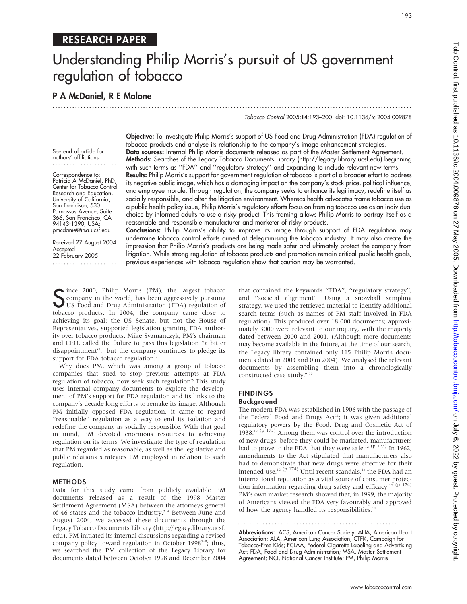## RESEARCH PAPER

# Understanding Philip Morris's pursuit of US government regulation of tobacco

...............................................................................................................................

P A McDaniel, R E Malone

See end of article for authors' affiliations ....................... Correspondence to: Patricia A McDaniel, PhD,

Research and Education, University of California, San Francisco, 530 Parnassus Avenue, Suite 366, San Francisco, CA 94143-1390, USA;

Accepted

#### Tobacco Control 2005;14:193–200. doi: 10.1136/tc.2004.009878

Center for Tobacco Control Objective: To investigate Philip Morris's support of US Food and Drug Administration (FDA) regulation of tobacco products and analyse its relationship to the company's image enhancement strategies. Data sources: Internal Philip Morris documents released as part of the Master Settlement Agreement. Methods: Searches of the Legacy Tobacco Documents Library (http://legacy.library.ucsf.edu) beginning with such terms as ''FDA'' and ''regulatory strategy'' and expanding to include relevant new terms. Results: Philip Morris's support for government regulation of tobacco is part of a broader effort to address its negative public image, which has a damaging impact on the company's stock price, political influence, and employee morale. Through regulation, the company seeks to enhance its legitimacy, redefine itself as

socially responsible, and alter the litigation environment. Whereas health advocates frame tobacco use as a public health policy issue, Philip Morris's regulatory efforts focus on framing tobacco use as an individual choice by informed adults to use a risky product. This framing allows Philip Morris to portray itself as a reasonable and responsible manufacturer and marketer of risky products.

pmcdanie@itsa.ucsf.edu Received 27 August 2004 22 February 2005 ....................... Conclusions: Philip Morris's ability to improve its image through support of FDA regulation may undermine tobacco control efforts aimed at delegitimising the tobacco industry. It may also create the impression that Philip Morris's products are being made safer and ultimately protect the company from litigation. While strong regulation of tobacco products and promotion remain critical public health goals, previous experiences with tobacco regulation show that caution may be warranted.

Since 2000, Philip Morris (PM), the largest tobacco company in the world, has been aggressively pursuing US Food and Drug Administration (FDA) regulation of tobacco products. In 2004, the company came close to company in the world, has been aggressively pursuing US Food and Drug Administration (FDA) regulation of tobacco products. In 2004, the company came close to achieving its goal: the US Senate, but not the House of Representatives, supported legislation granting FDA authority over tobacco products. Mike Syzmanczyk, PM's chairman and CEO, called the failure to pass this legislation ''a bitter disappointment",<sup>1</sup> but the company continues to pledge its support for FDA tobacco regulation.<sup>2</sup>

Why does PM, which was among a group of tobacco companies that sued to stop previous attempts at FDA regulation of tobacco, now seek such regulation? This study uses internal company documents to explore the development of PM's support for FDA regulation and its links to the company's decade long efforts to remake its image. Although PM initially opposed FDA regulation, it came to regard "reasonable" regulation as a way to end its isolation and redefine the company as socially responsible. With that goal in mind, PM devoted enormous resources to achieving regulation on its terms. We investigate the type of regulation that PM regarded as reasonable, as well as the legislative and public relations strategies PM employed in relation to such regulation.

### **METHODS**

Data for this study came from publicly available PM documents released as a result of the 1998 Master Settlement Agreement (MSA) between the attorneys general of 46 states and the tobacco industry.<sup>34</sup> Between June and August 2004, we accessed these documents through the Legacy Tobacco Documents Library (http://legacy.library.ucsf. edu). PM initiated its internal discussions regarding a revised company policy toward regulation in October 1998<sup>5-8</sup>; thus, we searched the PM collection of the Legacy Library for documents dated between October 1998 and December 2004 that contained the keywords ''FDA'', ''regulatory strategy'', and ''societal alignment''. Using a snowball sampling strategy, we used the retrieved material to identify additional search terms (such as names of PM staff involved in FDA regulation). This produced over 18 000 documents; approximately 3000 were relevant to our inquiry, with the majority dated between 2000 and 2001. (Although more documents may become available in the future, at the time of our search, the Legacy library contained only 115 Philip Morris documents dated in 2003 and 0 in 2004). We analysed the relevant documents by assembling them into a chronologically constructed case study.<sup>9 10</sup>

## FINDINGS

## Background

The modern FDA was established in 1906 with the passage of the Federal Food and Drugs  $Act^{11}$ ; it was given additional regulatory powers by the Food, Drug and Cosmetic Act of 1938.<sup>12 (p 173)</sup> Among them was control over the introduction of new drugs; before they could be marketed, manufacturers had to prove to the FDA that they were safe.<sup>12 (p 173)</sup> In 1962, amendments to the Act stipulated that manufacturers also had to demonstrate that new drugs were effective for their intended use.<sup>12 (p 174)</sup> Until recent scandals,<sup>13</sup> the FDA had an international reputation as a vital source of consumer protection information regarding drug safety and efficacy.<sup>12 (p 174)</sup> PM's own market research showed that, in 1999, the majority of Americans viewed the FDA very favourably and approved of how the agency handled its responsibilities.<sup>14</sup>

Abbreviations: ACS, American Cancer Society; AHA, American Heart Association; ALA, American Lung Association; CTFK, Campaign for Tobacco-Free Kids; FCLAA, Federal Cigarette Labeling and Advertising Act; FDA, Food and Drug Administration; MSA, Master Settlement Agreement; NCI, National Cancer Institute; PM, Philip Morris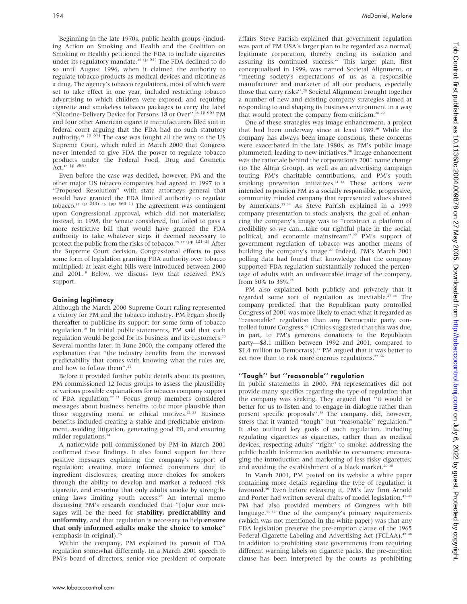Beginning in the late 1970s, public health groups (including Action on Smoking and Health and the Coalition on Smoking or Health) petitioned the FDA to include cigarettes under its regulatory mandate.<sup>15</sup> (p <sup>53</sup>) The FDA declined to do so until August 1996, when it claimed the authority to regulate tobacco products as medical devices and nicotine as a drug. The agency's tobacco regulations, most of which were set to take effect in one year, included restricting tobacco advertising to which children were exposed, and requiring cigarette and smokeless tobacco packages to carry the label "Nicotine-Delivery Device for Persons 18 or Over".<sup>15 (p 66)</sup> PM and four other American cigarette manufacturers filed suit in federal court arguing that the FDA had no such statutory authority.<sup>15</sup> ( $p$ <sup>67)</sup> The case was fought all the way to the US Supreme Court, which ruled in March 2000 that Congress never intended to give FDA the power to regulate tobacco products under the Federal Food, Drug and Cosmetic Act.16 (p 384)

Even before the case was decided, however, PM and the other major US tobacco companies had agreed in 1997 to a ''Proposed Resolution'' with state attorneys general that would have granted the FDA limited authority to regulate tobacco.<sup>15</sup> (p  $^{244)_{16}}$  (pp  $^{360-1}$ ) The agreement was contingent upon Congressional approval, which did not materialise; instead, in 1998, the Senate considered, but failed to pass a more restrictive bill that would have granted the FDA authority to take whatever steps it deemed necessary to protect the public from the risks of tobacco.<sup>15 17 (pp 121–2)</sup> After the Supreme Court decision, Congressional efforts to pass some form of legislation granting FDA authority over tobacco multiplied: at least eight bills were introduced between 2000 and 2001.<sup>18</sup> Below, we discuss two that received PM's support.

#### Gaining legitimacy

Although the March 2000 Supreme Court ruling represented a victory for PM and the tobacco industry, PM began shortly thereafter to publicise its support for some form of tobacco regulation.19 In initial public statements, PM said that such regulation would be good for its business and its customers.<sup>20</sup> Several months later, in June 2000, the company offered the explanation that ''the industry benefits from the increased predictability that comes with knowing what the rules are, and how to follow them".<sup>21</sup>

Before it provided further public details about its position, PM commissioned 12 focus groups to assess the plausibility of various possible explanations for tobacco company support of FDA regulation.<sup>22 23</sup> Focus group members considered messages about business benefits to be more plausible than those suggesting moral or ethical motives.<sup>22 23</sup> Business benefits included creating a stable and predictable environment, avoiding litigation, generating good PR, and ensuring milder regulations.<sup>24</sup>

A nationwide poll commissioned by PM in March 2001 confirmed these findings. It also found support for three positive messages explaining the company's support of regulation: creating more informed consumers due to ingredient disclosures, creating more choices for smokers through the ability to develop and market a reduced risk cigarette, and ensuring that only adults smoke by strengthening laws limiting youth access.<sup>25</sup> An internal memo discussing PM's research concluded that ''[o]ur core messages will be the need for stability, predictability and uniformity, and that regulation is necessary to help ensure that only informed adults make the choice to smoke'' (emphasis in original).26

Within the company, PM explained its pursuit of FDA regulation somewhat differently. In a March 2001 speech to PM's board of directors, senior vice president of corporate affairs Steve Parrish explained that government regulation was part of PM USA's larger plan to be regarded as a normal, legitimate corporation, thereby ending its isolation and assuring its continued success.<sup>27</sup> This larger plan, first conceptualised in 1999, was named Societal Alignment, or ''meeting society's expectations of us as a responsible manufacturer and marketer of all our products, especially those that carry risks".<sup>28</sup> Societal Alignment brought together a number of new and existing company strategies aimed at responding to and shaping its business environment in a way that would protect the company from criticism.<sup>28 29</sup>

One of these strategies was image enhancement, a project that had been underway since at least 1989.<sup>30</sup> While the company has always been image conscious, these concerns were exacerbated in the late 1980s, as PM's public image plummeted, leading to new initiatives.<sup>30</sup> Image enhancement was the rationale behind the corporation's 2001 name change (to The Altria Group), as well as an advertising campaign touting PM's charitable contributions, and PM's youth smoking prevention initiatives.<sup>31 32</sup> These actions were intended to position PM as a socially responsible, progressive, community minded company that represented values shared by Americans.<sup>33 34</sup> As Steve Parrish explained in a 1999 company presentation to stock analysts, the goal of enhancing the company's image was to ''construct a platform of credibility so we can…take our rightful place in the social, political, and economic mainstream".<sup>35</sup> PM's support of government regulation of tobacco was another means of building the company's image.<sup>27</sup> Indeed, PM's March 2001 polling data had found that knowledge that the company supported FDA regulation substantially reduced the percentage of adults with an unfavourable image of the company, from 50% to 35%.25

PM also explained both publicly and privately that it regarded some sort of regulation as inevitable.<sup>27 36</sup> The company predicted that the Republican party controlled Congress of 2001 was more likely to enact what it regarded as "reasonable" regulation than any Democratic party controlled future Congress.<sup>27</sup> (Critics suggested that this was due, in part, to PM's generous donations to the Republican party—\$8.1 million between 1992 and 2001, compared to \$1.4 million to Democrats).<sup>37</sup> PM argued that it was better to act now than to risk more onerous regulations.<sup>27</sup>  $36$ 

## ''Tough'' but ''reasonable'' regulation

In public statements in 2000, PM representatives did not provide many specifics regarding the type of regulation that the company was seeking. They argued that ''it would be better for us to listen and to engage in dialogue rather than present specific proposals".<sup>38</sup> The company, did, however, stress that it wanted "tough" but "reasonable" regulation.<sup>39</sup> It also outlined key goals of such regulation, including regulating cigarettes as cigarettes, rather than as medical devices; respecting adults' ''right'' to smoke; addressing the public health information available to consumers; encouraging the introduction and marketing of less risky cigarettes; and avoiding the establishment of a black market.<sup>20 3</sup>

In March 2001, PM posted on its website a white paper containing more details regarding the type of regulation it favoured.40 Even before releasing it, PM's law firm Arnold and Porter had written several drafts of model legislation.<sup>41-43</sup> PM had also provided members of Congress with bill language.44–46 One of the company's primary requirements (which was not mentioned in the white paper) was that any FDA legislation preserve the pre-emption clause of the 1965 Federal Cigarette Labeling and Advertising Act (FCLAA).<sup>47 48</sup> In addition to prohibiting state governments from requiring different warning labels on cigarette packs, the pre-emption clause has been interpreted by the courts as prohibiting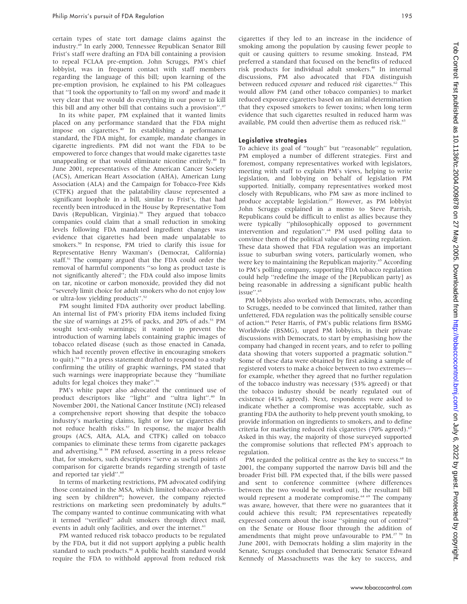certain types of state tort damage claims against the industry.49 In early 2000, Tennessee Republican Senator Bill Frist's staff were drafting an FDA bill containing a provision to repeal FCLAA pre-emption. John Scruggs, PM's chief lobbyist, was in frequent contact with staff members regarding the language of this bill; upon learning of the pre-emption provision, he explained to his PM colleagues that ''I took the opportunity to 'fall on my sword' and made it very clear that we would do everything in our power to kill this bill and any other bill that contains such a provision".<sup>47</sup>

In its white paper, PM explained that it wanted limits placed on any performance standard that the FDA might impose on cigarettes.<sup>40</sup> In establishing a performance standard, the FDA might, for example, mandate changes in cigarette ingredients. PM did not want the FDA to be empowered to force changes that would make cigarettes taste unappealing or that would eliminate nicotine entirely.<sup>40</sup> In June 2001, representatives of the American Cancer Society (ACS), American Heart Association (AHA), American Lung Association (ALA) and the Campaign for Tobacco-Free Kids (CTFK) argued that the palatability clause represented a significant loophole in a bill, similar to Frist's, that had recently been introduced in the House by Representative Tom Davis (Republican, Virginia).<sup>50</sup> They argued that tobacco companies could claim that a small reduction in smoking levels following FDA mandated ingredient changes was evidence that cigarettes had been made unpalatable to smokers.<sup>50</sup> In response, PM tried to clarify this issue for Representative Henry Waxman's (Democrat, California) staff.51 The company argued that the FDA could order the removal of harmful components ''so long as product taste is not significantly altered''; the FDA could also impose limits on tar, nicotine or carbon monoxide, provided they did not ''severely limit choice for adult smokers who do not enjoy low or ultra-low yielding products".<sup>52</sup>

PM sought limited FDA authority over product labelling. An internal list of PM's priority FDA items included fixing the size of warnings at  $25\%$  of packs, and  $20\%$  of ads.<sup>53</sup> PM sought text-only warnings; it wanted to prevent the introduction of warning labels containing graphic images of tobacco related disease (such as those enacted in Canada, which had recently proven effective in encouraging smokers to quit).<sup>54 55</sup> In a press statement drafted to respond to a study confirming the utility of graphic warnings, PM stated that such warnings were inappropriate because they ''humiliate adults for legal choices they make''.56

PM's white paper also advocated the continued use of product descriptors like "light" and "ultra light".<sup>40</sup> In November 2001, the National Cancer Institute (NCI) released a comprehensive report showing that despite the tobacco industry's marketing claims, light or low tar cigarettes did not reduce health risks.<sup>57</sup> In response, the major health groups (ACS, AHA, ALA, and CTFK) called on tobacco companies to eliminate these terms from cigarette packages and advertising.<sup>58 59</sup> PM refused, asserting in a press release that, for smokers, such descriptors ''serve as useful points of comparison for cigarette brands regarding strength of taste and reported tar yield".<sup>60</sup>

In terms of marketing restrictions, PM advocated codifying those contained in the MSA, which limited tobacco advertising seen by children<sup>40</sup>; however, the company rejected restrictions on marketing seen predominately by adults.<sup>40</sup> The company wanted to continue communicating with what it termed ''verified'' adult smokers through direct mail, events in adult only facilities, and over the internet.<sup>61</sup>

PM wanted reduced risk tobacco products to be regulated by the FDA, but it did not support applying a public health standard to such products.<sup>40</sup> A public health standard would require the FDA to withhold approval from reduced risk cigarettes if they led to an increase in the incidence of smoking among the population by causing fewer people to quit or causing quitters to resume smoking. Instead, PM preferred a standard that focused on the benefits of reduced risk products for individual adult smokers.40 In internal discussions, PM also advocated that FDA distinguish between reduced exposure and reduced risk cigarettes.<sup>62</sup> This would allow PM (and other tobacco companies) to market reduced exposure cigarettes based on an initial determination that they exposed smokers to fewer toxins; when long term evidence that such cigarettes resulted in reduced harm was available, PM could then advertise them as reduced risk.<sup>63</sup>

## Legislative strategies

To achieve its goal of ''tough'' but ''reasonable'' regulation, PM employed a number of different strategies. First and foremost, company representatives worked with legislators, meeting with staff to explain PM's views, helping to write legislation, and lobbying on behalf of legislation PM supported. Initially, company representatives worked most closely with Republicans, who PM saw as more inclined to produce acceptable legislation.<sup>27</sup> However, as PM lobbyist John Scruggs explained in a memo to Steve Parrish, Republicans could be difficult to enlist as allies because they were typically ''philosophically opposed to government intervention and regulation".<sup>64</sup> PM used polling data to convince them of the political value of supporting regulation. These data showed that FDA regulation was an important issue to suburban swing voters, particularly women, who were key to maintaining the Republican majority.<sup>65</sup> According to PM's polling company, supporting FDA tobacco regulation could help ''redefine the image of the [Republican party] as being reasonable in addressing a significant public health issue".<sup>65</sup>

PM lobbyists also worked with Democrats, who, according to Scruggs, needed to be convinced that limited, rather than unfettered, FDA regulation was the politically sensible course of action.<sup>64</sup> Peter Harris, of PM's public relations firm BSMG Worldwide (BSMG), urged PM lobbyists, in their private discussions with Democrats, to start by emphasising how the company had changed in recent years, and to refer to polling data showing that voters supported a pragmatic solution.<sup>66</sup> Some of these data were obtained by first asking a sample of registered voters to make a choice between to two extremes for example, whether they agreed that no further regulation of the tobacco industry was necessary (53% agreed) or that the tobacco industry should be nearly regulated out of existence (41% agreed). Next, respondents were asked to indicate whether a compromise was acceptable, such as granting FDA the authority to help prevent youth smoking, to provide information on ingredients to smokers, and to define criteria for marketing reduced risk cigarettes (70% agreed).<sup>67</sup> Asked in this way, the majority of those surveyed supported the compromise solutions that reflected PM's approach to regulation.

PM regarded the political centre as the key to success.<sup>68</sup> In 2001, the company supported the narrow Davis bill and the broader Frist bill. PM expected that, if the bills were passed and sent to conference committee (where differences between the two would be worked out), the resultant bill would represent a moderate compromise.<sup>64 69</sup> The company was aware, however, that there were no guarantees that it could achieve this result; PM representatives repeatedly expressed concern about the issue ''spinning out of control'' on the Senate or House floor through the addition of amendments that might prove unfavourable to PM.<sup>27 70</sup> In June 2001, with Democrats holding a slim majority in the Senate, Scruggs concluded that Democratic Senator Edward Kennedy of Massachusetts was the key to success, and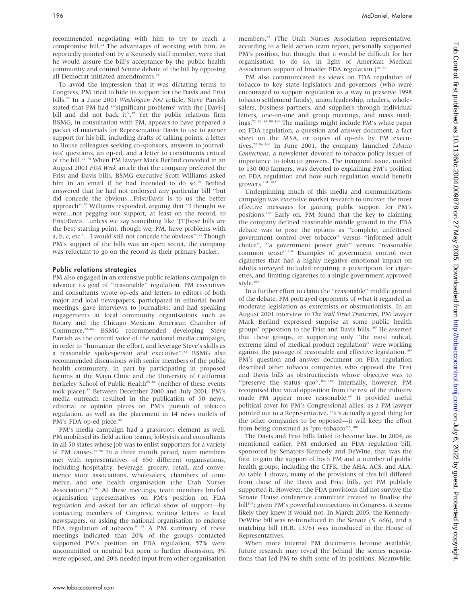recommended negotiating with him to try to reach a compromise bill.<sup>64</sup> The advantages of working with him, as reportedly pointed out by a Kennedy staff member, were that he would assure the bill's acceptance by the public health community and control Senate debate of the bill by opposing all Democrat initiated amendments.<sup>71</sup>

To avoid the impression that it was dictating terms to Congress, PM tried to hide its support for the Davis and Frist bills.<sup>72</sup> In a June 2001 Washington Post article, Steve Parrish stated that PM had '''significant problems' with the [Davis] bill and did not back it".<sup>37</sup> Yet the public relations firm BSMG, in consultation with PM, appears to have prepared a packet of materials for Representative Davis to use to garner support for his bill, including drafts of talking points, a letter to House colleagues seeking co-sponsors, answers to journalists' questions, an op-ed, and a letter to constituents critical of the bill.73 74 When PM lawyer Mark Berlind conceded in an August 2001 FDA Week article that the company preferred the Frist and Davis bills, BSMG executive Scott Williams asked him in an email if he had intended to do so.<sup>75</sup> Berlind answered that he had not endorsed any particular bill ''but did concede the obvious…Frist/Davis is to us the better approach''.76 Williams responded, arguing that ''I thought we were…not pegging our support, at least on the record, to Frist/Davis…unless we say something like '[T]hose bills are the best starting point, though we, PM, have problems with a, b, c, etc.'...I would still not concede the obvious".<sup>77</sup> Though PM's support of the bills was an open secret, the company was reluctant to go on the record as their primary backer.

#### Public relations strategies

PM also engaged in an extensive public relations campaign to advance its goal of ''reasonable'' regulation. PM executives and consultants wrote op-eds and letters to editors of both major and local newspapers, participated in editorial board meetings, gave interviews to journalists, and had speaking engagements at local community organisations such as Rotary and the Chicago Mexican American Chamber of Commerce.78–84 BSMG recommended developing Steve Parrish as the central voice of the national media campaign, in order to ''humanize the effort, and leverage Steve's skills as a reasonable spokesperson and executive".<sup>85</sup> BSMG also recommended discussions with senior members of the public health community, in part by participating in proposed forums at the Mayo Clinic and the University of California Berkeley School of Public Health<sup>85 86</sup> (neither of these events took place).<sup>87</sup> Between December 2000 and July 2001, PM's media outreach resulted in the publication of 50 news, editorial or opinion pieces on PM's pursuit of tobacco regulation, as well as the placement in 14 news outlets of PM's FDA op-ed piece.<sup>88</sup>

PM's media campaign had a grassroots element as well. PM mobilised its field action teams, lobbyists and consultants in all 50 states whose job was to enlist supporters for a variety of PM causes.<sup>89 90</sup> In a three month period, team members met with representatives of 650 different organisations, including hospitality, beverage, grocery, retail, and convenience store associations, wholesalers, chambers of commerce, and one health organisation (the Utah Nurses Association).<sup>91-93</sup> At these meetings, team members briefed organisation representatives on PM's position on FDA regulation and asked for an official show of support—by contacting members of Congress, writing letters to local newspapers, or asking the national organisation to endorse FDA regulation of tobacco.<sup>94 95</sup> A PM summary of these meetings indicated that 20% of the groups contacted supported PM's position on FDA regulation, 57% were uncommitted or neutral but open to further discussion, 3% were opposed, and 20% needed input from other organisation members.<sup>92</sup> (The Utah Nurses Association representative, according to a field action team report, personally supported PM's position, but thought that it would be difficult for her organisation to do so, in light of American Medical Association support of broader FDA regulation.)<sup>96 97</sup>

PM also communicated its views on FDA regulation of tobacco to key state legislators and governors (who were encouraged to support regulation as a way to preserve 1998 tobacco settlement funds), union leadership, retailers, wholesalers, business partners, and suppliers through individual letters, one-on-one and group meetings, and mass mailings.72 86 88 98–100 The mailings might include PM's white paper on FDA regulation, a question and answer document, a fact sheet on the MSA, or copies of op-eds by PM executives.<sup>72 86 100</sup> In June 2001, the company launched Tobacco Connections, a newsletter devoted to tobacco policy issues of importance to tobacco growers. The inaugural issue, mailed to 130 000 farmers, was devoted to explaining PM's position on FDA regulation and how such regulation would benefit growers.<sup>101 102</sup>

Underpinning much of this media and communications campaign was extensive market research to uncover the most effective messages for gaining public support for PM's positions.103 Early on, PM found that the key to claiming the company defined reasonable middle ground in the FDA debate was to pose the options as ''complete, unfettered government control over tobacco'' versus ''informed adult choice'', ''a government power grab'' versus ''reasonable common sense''.104 Examples of government control over cigarettes that had a highly negative emotional impact on adults surveyed included requiring a prescription for cigarettes, and limiting cigarettes to a single government approved style.103

In a further effort to claim the ''reasonable'' middle ground of the debate, PM portrayed opponents of what it regarded as moderate legislation as extremists or obstructionists. In an August 2001 interview in The Wall Street Transcript, PM lawyer Mark Berlind expressed surprise at some public health groups' opposition to the Frist and Davis bills.<sup>105</sup> He asserted that these groups, in supporting only ''the most radical, extreme kind of medical product regulation'' were working against the passage of reasonable and effective legislation.<sup>105</sup> PM's question and answer document on FDA regulation described other tobacco companies who opposed the Frist and Davis bills as obstructionists whose objective was to "preserve the status quo".<sup>106 107</sup> Internally, however, PM recognised that vocal opposition from the rest of the industry made PM appear more reasonable.<sup>68</sup> It provided useful political cover for PM's Congressional allies: as a PM lawyer pointed out to a Representative, ''it's actually a good thing for the other companies to be opposed—it will keep the effort from being construed as 'pro-tobacco'".<sup>108</sup>

The Davis and Frist bills failed to become law. In 2004, as mentioned earlier, PM endorsed an FDA regulation bill, sponsored by Senators Kennedy and DeWine, that was the first to gain the support of both PM and a number of public health groups, including the CTFK, the AHA, ACS, and ALA. As table 1 shows, many of the provisions of this bill differed from those of the Davis and Frist bills, yet PM publicly supported it. However, the FDA provisions did not survive the Senate House conference committee created to finalise the bill<sup>109</sup>; given PM's powerful connections in Congress, it seems likely they knew it would not. In March 2005, the Kennedy-DeWine bill was re-introduced in the Senate (S. 666), and a matching bill (H.R. 1376) was introduced in the House of Representatives.

When more internal PM documents become available, future research may reveal the behind the scenes negotiations that led PM to shift some of its positions. Meanwhile,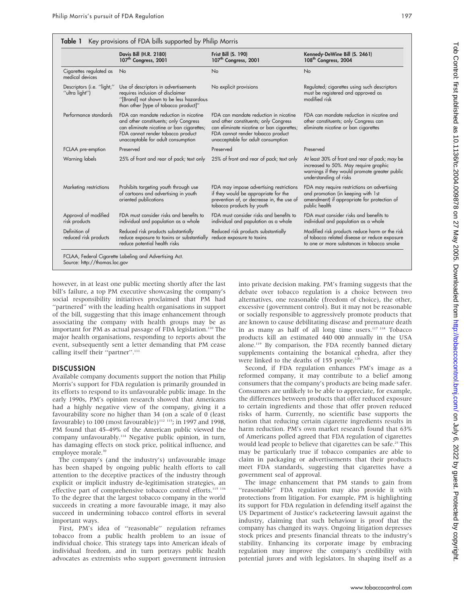|                                              | Davis Bill (H.R. 2180)<br>107 <sup>th</sup> Congress, 2001                                                                                                                                             | Frist Bill (S. 190)<br>107 <sup>th</sup> Congress, 2001                                                                                                                                                | Kennedy-DeWine Bill (S. 2461)<br>108 <sup>th</sup> Congress, 2004                                                                                                  |
|----------------------------------------------|--------------------------------------------------------------------------------------------------------------------------------------------------------------------------------------------------------|--------------------------------------------------------------------------------------------------------------------------------------------------------------------------------------------------------|--------------------------------------------------------------------------------------------------------------------------------------------------------------------|
| Cigarettes regulated as<br>medical devices   | <b>No</b>                                                                                                                                                                                              | <b>No</b>                                                                                                                                                                                              | No                                                                                                                                                                 |
| Descriptors (i.e. "light,"<br>"ultra light") | Use of descriptors in advertisements<br>requires inclusion of disclaimer<br>"[Brand] not shown to be less hazardous<br>than other [type of tobacco product]"                                           | No explicit provisions                                                                                                                                                                                 | Regulated; cigarettes using such descriptors<br>must be registered and approved as<br>modified risk                                                                |
| Performance standards                        | FDA can mandate reduction in nicotine<br>and other constituents; only Congress<br>can eliminate nicotine or ban cigarettes;<br>FDA cannot render tobacco product<br>unacceptable for adult consumption | FDA can mandate reduction in nicotine<br>and other constituents; only Congress<br>can eliminate nicotine or ban cigarettes;<br>FDA cannot render tobacco product<br>unacceptable for adult consumption | FDA can mandate reduction in nicotine and<br>other constituents; only Congress can<br>eliminate nicotine or ban cigarettes                                         |
| FCLAA pre-emption                            | Preserved                                                                                                                                                                                              | Preserved                                                                                                                                                                                              | Preserved                                                                                                                                                          |
| Warning labels                               | 25% of front and rear of pack; text only 25% of front and rear of pack; text only                                                                                                                      |                                                                                                                                                                                                        | At least 30% of front and rear of pack; may be<br>increased to 50%. May require graphic<br>warnings if they would promote greater public<br>understanding of risks |
| Marketing restrictions                       | Prohibits targeting youth through use<br>of cartoons and advertising in youth<br>oriented publications                                                                                                 | FDA may impose advertising restrictions<br>if they would be appropriate for the<br>prevention of, or decrease in, the use of<br>tobacco products by youth                                              | FDA may require restrictions on advertising<br>and promotion (in keeping with 1st<br>amendment) if appropriate for protection of<br>public health                  |
| Approval of modified<br>risk products        | FDA must consider risks and benefits to<br>individual and population as a whole                                                                                                                        | FDA must consider risks and benefits to<br>individual and population as a whole                                                                                                                        | FDA must consider risks and benefits to<br>individual and population as a whole                                                                                    |
| Definition of<br>reduced risk products       | Reduced risk products substantially<br>reduce exposure to toxins or substantially<br>reduce potential health risks                                                                                     | Reduced risk products substantially<br>reduce exposure to toxins                                                                                                                                       | Modified risk products reduce harm or the risk<br>of tobacco related disease or reduce exposure<br>to one or more substances in tobacco smoke                      |

however, in at least one public meeting shortly after the last bill's failure, a top PM executive showcasing the company's social responsibility initiatives proclaimed that PM had "partnered" with the leading health organisations in support of the bill, suggesting that this image enhancement through associating the company with health groups may be as important for PM as actual passage of FDA legislation.<sup>110</sup> The major health organisations, responding to reports about the event, subsequently sent a letter demanding that PM cease calling itself their "partner".<sup>111</sup>

## **DISCUSSION**

Available company documents support the notion that Philip Morris's support for FDA regulation is primarily grounded in its efforts to respond to its unfavourable public image. In the early 1990s, PM's opinion research showed that Americans had a highly negative view of the company, giving it a favourability score no higher than 34 (on a scale of 0 (least favourable) to 100 (most favourable))<sup>112</sup> <sup>113</sup>; in 1997 and 1998, PM found that 45–49% of the American public viewed the company unfavourably.114 Negative public opinion, in turn, has damaging effects on stock price, political influence, and employee morale.<sup>30</sup>

The company's (and the industry's) unfavourable image has been shaped by ongoing public health efforts to call attention to the deceptive practices of the industry through explicit or implicit industry de-legitimisation strategies, an effective part of comprehensive tobacco control efforts.<sup>115 116</sup> To the degree that the largest tobacco company in the world succeeds in creating a more favourable image, it may also succeed in undermining tobacco control efforts in several important ways.

First, PM's idea of "reasonable" regulation reframes tobacco from a public health problem to an issue of individual choice. This strategy taps into American ideals of individual freedom, and in turn portrays public health advocates as extremists who support government intrusion into private decision making. PM's framing suggests that the debate over tobacco regulation is a choice between two alternatives, one reasonable (freedom of choice), the other, excessive (government control). But it may not be reasonable or socially responsible to aggressively promote products that are known to cause debilitating disease and premature death in as many as half of all long time users.<sup>117 118</sup> Tobacco products kill an estimated 440 000 annually in the USA alone.119 By comparison, the FDA recently banned dietary supplements containing the botanical ephedra, after they were linked to the deaths of 155 people.<sup>120</sup>

Second, if FDA regulation enhances PM's image as a reformed company, it may contribute to a belief among consumers that the company's products are being made safer. Consumers are unlikely to be able to appreciate, for example, the differences between products that offer reduced exposure to certain ingredients and those that offer proven reduced risks of harm. Currently, no scientific base supports the notion that reducing certain cigarette ingredients results in harm reduction. PM's own market research found that 63% of Americans polled agreed that FDA regulation of cigarettes would lead people to believe that cigarettes can be safe.<sup>25</sup> This may be particularly true if tobacco companies are able to claim in packaging or advertisements that their products meet FDA standards, suggesting that cigarettes have a government seal of approval.

The image enhancement that PM stands to gain from "reasonable" FDA regulation may also provide it with protections from litigation. For example, PM is highlighting its support for FDA regulation in defending itself against the US Department of Justice's racketeering lawsuit against the industry, claiming that such behaviour is proof that the company has changed its ways. Ongoing litigation depresses stock prices and presents financial threats to the industry's stability. Enhancing its corporate image by embracing regulation may improve the company's credibility with potential jurors and with legislators. In shaping itself as a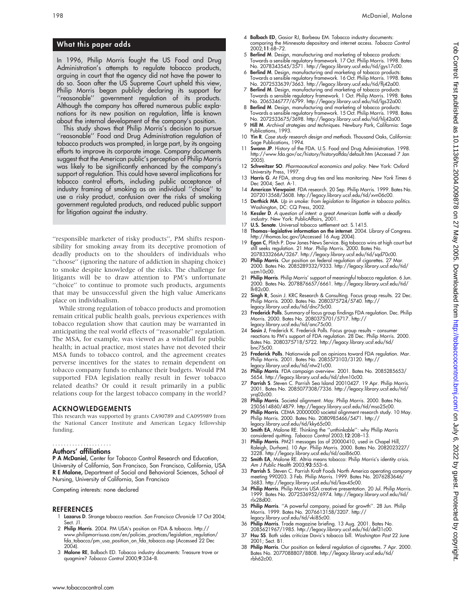## What this paper adds

In 1996, Philip Morris fought the US Food and Drug Administration's attempts to regulate tobacco products, arguing in court that the agency did not have the power to do so. Soon after the US Supreme Court upheld this view, Philip Morris began publicly declaring its support for ''reasonable'' government regulation of its products. Although the company has offered numerous public explanations for its new position on regulation, little is known about the internal development of the company's position.

This study shows that Philip Morris's decision to pursue ''reasonable'' Food and Drug Administration regulation of tobacco products was prompted, in large part, by its ongoing efforts to improve its corporate image. Company documents suggest that the American public's perception of Philip Morris was likely to be significantly enhanced by the company's support of regulation. This could have several implications for tobacco control efforts, including public acceptance of industry framing of smoking as an individual ''choice'' to use a risky product, confusion over the risks of smoking government regulated products, and reduced public support for litigation against the industry.

"responsible marketer of risky products", PM shifts responsibility for smoking away from its deceptive promotion of deadly products on to the shoulders of individuals who ''choose'' (ignoring the nature of addiction in shaping choice) to smoke despite knowledge of the risks. The challenge for litigants will be to draw attention to PM's unfortunate "choice" to continue to promote such products, arguments that may be unsuccessful given the high value Americans place on individualism.

While strong regulation of tobacco products and promotion remain critical public health goals, previous experiences with tobacco regulation show that caution may be warranted in anticipating the real world effects of ''reasonable'' regulation. The MSA, for example, was viewed as a windfall for public health; in actual practice, most states have not devoted their MSA funds to tobacco control, and the agreement creates perverse incentives for the states to remain dependent on tobacco company funds to enhance their budgets. Would PM supported FDA legislation really result in fewer tobacco related deaths? Or could it result primarily in a public relations coup for the largest tobacco company in the world?

### ACKNOWLEDGEMENTS

This research was supported by grants CA90789 and CA095989 from the National Cancer Institute and American Legacy fellowship funding.

#### Authors' affiliations .....................

P A McDaniel, Center for Tobacco Control Research and Education, University of California, San Francisco, San Francisco, California, USA R E Malone, Department of Social and Behavioral Sciences, School of Nursing, University of California, San Francisco

Competing interests: none declared

#### REFERENCES

- 1 Lazarus D. Strange tobacco reaction. San Francisco Chronicle 17 Oct 2004; Sect. J1.
- 2 Philip Morris. 2004. PM USA's position on FDA & tobacco. http:// www.philipmorrisusa.com/en/policies\_practices/legislation\_regulation/ fda\_tobacco/pm\_usa\_position\_on\_fda\_tobacco.asp (Accessed 22 Dec 2004).
- 3 Malone RE, Balbach ED. Tobacco industry documents: Treasure trove or quagmire? Tobacco Control 2000;9:334–8.
- 4 Balbach ED, Gasior RJ, Barbeau EM. Tobacco industry documents: comparing the Minnesota depository and internet access. Tobacco Control 2002;11:68–72.
- 5 Berlind M. Design, manufacturing and marketing of tobacco products: Towards a sensible regulatory framework. 17 Oct. Philip Morris. 1998. Bates No. 2078343545/3571. http://legacy.library.ucsf.edu/tid/gys17c00.
- 6 Berlind M. Design, manufacturing and marketing of tobacco products: Towards a sensible regulatory framework. 16 Oct. Philip Morris. 1998. Bates No. 2072533639/3663. http://legacy.library.ucsf.edu/tid/flj42a00.
- 7 Berlind M. Design, manufacturing and marketing of tobacco products: Towards a sensible regulatory framework. 1 Oct. Philip Morris. 1998. Bates No. 2065346777/6799. http://legacy.library.ucsf.edu/tid/lgs32a00.
- 8 Berlind M. Design, manufacturing and marketing of tobacco products: Towards a sensible regulatory framework. 15 Oct. Philip Morris. 1998. Bates No. 2072533675/3698. http://legacy.library.ucsf.edu/tid/hlj42a00.
- 9 Hill M. Archival strategies and techniques. Newbury Park, California: Sage Publications, 1993.
- 10 Yin R. Case study research design and methods. Thousand Oaks, California: Sage Publications, 1994.
- 11 Swann JP. History of the FDA. U.S. Food and Drug Administration. 1998. http://www.fda.gov/oc/history/historyoffda/default.htm (Accessed 7 Jan 2005).
- 12 Schweitzer SO. Pharmaceutical economics and policy. New York: Oxford
- University Press, 1997. 13 Harris G. At FDA, strong drug ties and less monitoring. New York Times 6 Dec 2004; Sect. A-1.
- 14 **American Viewpoint**. FDA research. 20 Sep. Philip Morris. 1999. Bates No.<br>2072013568/3608. http://legacy.library.ucsf.edu/tid/xvn06c00.<br>15 **Derthick MA**. Up in smoke: from legislation to litigation in tobacco politics.
- Washington, DC: CQ Press, 2002.
- 16 Kessler D. A question of intent: a great American battle with a deadly industry. New York: PublicAffairs, 2001.
- 17 U.S. Senate. Universal tobacco settlement act. S.1415. 18 Thomas--legislative information on the internet. 2004. Library of Congress.
- http://thomas.loc.gov/(Accessed 16 Aug 2004). 19 Egan C, Plitch P. Dow Jones News Service. Big tobacco wins at high court but still seeks regulation. 21 Mar. Philip Morris. 2000. Bates No.
- 2078333266A/3267. http://legacy.library.ucsf.edu/tid/sqd70c00. 20 Philip Morris. Our position on federal regulation of cigarettes. 27 Mar. 2000. Bates No. 2085289332/9333. http://legacy.library.ucsf.edu/tid/ uzm10c00.
- 21 Philip Morris. Philip Morris' support of meaningful tobacco regulation. 6 Jun. 2000. Bates No. 2078876657/6661. http://legacy.library.ucsf.edu/tid/ lfr82c00.
- 22 Singh R, Sosin J. KRC Research & Consulting. Focus group results. 22 Dec. Philip Morris. 2000. Bates No. 2080375724/5740. http://
- legacy.library.ucsf.edu/tid/dnc75c00.<br>23 **Frederick Polls**. Summary of focus group findings FDA regulation. Dec. Philip<br>Morris. 2000. Bates No. 2080375701/5717. http:// legacy.library.ucsf.edu/tid/anc75c00.
- 24 Sosin J, Frederick K. Frederick Polls. Focus group results consumer reactions to PM's support of FDA regulation. 28 Dec. Philip Morris. 2000. Bates No. 2080375718/5722. http://legacy.library.ucsf.edu/tid/ bnc75c00.
- 25 Frederick Polls. Nationwide poll on opinions toward FDA regulation. Mar. Philip Morris. 2001. Bates No. 2085573103/3120. http:// legacy.library.ucsf.edu/tid/ntw21c00.
- 26 **Philip Morris**. FDA campaign overview. 2001. Bates No. 2085285653/<br>5654. http://legacy.library.ucsf.edu/tid/zhm10c00.<br>27 **Parrish S**. Steven C. Parrish Sea Island 20010427. 19 Apr. Philip Morris.
- 2001. Bates No. 2085077308/7336. http://legacy.library.ucsf.edu/tid/ yrq02c00.
- 28 Philip Morris. Societal alignment. May. Philip Morris. 2000. Bates No. 2505614860/4879. http://legacy.library.ucsf.edu/tid/mso25c00.
- 29 Philip Morris. CEMA 20000000 societal alignment research study. 10 May. Philip Morris. 2000. Bates No. 2080985466/5471. http:// legacy.library.ucsf.edu/tid/kky65c00.
- 30 Smith EA, Malone RE. Thinking the ''unthinkable'': why Philip Morris considered quitting. Tobacco Control 2003;12:208–13.
- 31 **Philip Morris.** PM21 messages (as of 20000410, used in Chapel Hill,<br>Raleigh, Durham). 10 Apr. Philip Morris. 2000. Bates No. 2082023227/<br>3228. http://legacy.ibrary.ucsf.edu/tid/oai86c00.<br>32 **Smith EA**, Malone RE. Altri
- Am J Public Health 2003;93:553–6.
- 33 Parrish S. Steven C. Parrish Kraft Foods North America operating company meeting 990203. 3 Feb. Philip Morris. 1999. Bates No. 2076283646/ 3683. http://legacy.library.ucsf.edu/tid/kax45c00.
- 34 Philip Morris. Philip Morris USA creative presentation. 20 Jul. Philip Morris. 1999. Bates No. 2072536952/6974. http://legacy.library.ucsf.edu/tid/ rlx28d00.
- 35 Philip Morris. ''A powerful company, poised for growth''. 28 Jun. Philip Morris. 1999. Bates No. 2076613158/3207. http:// legacy.library.ucsf.edu/tid/vki85c00.
- 36 Philip Morris. Trade magazine briefing. 13 Aug. 2001. Bates No. 2085621967/1985. http://legacy.library.ucsf.edu/tid/def31c00.
- 37 Hsu SS. Both sides criticize Davis's tobacco bill. Washington Post 22 June 2001; Sect. B1.
- 38 Philip Morris. Our position on federal regulation of cigarettes. 7 Apr. 2000. Bates No. 2077088807/8808. http://legacy.library.ucsf.edu/tid/ rbh62c00.

Tob Control: first published as 10.1136/tc.2004.009878 on 27 May 2005. Downloadd from http://tublished from thp://tom/ thp://tcm/ Control: com/ Tob Control: first published by copyright. Tob Control: first published as 10.11136/tc.2004.009878 on 27 May 2005. Downloaded from http://tobaccocontrol.bmj.com/ on July 6, 2022 by guest. Protected by copyright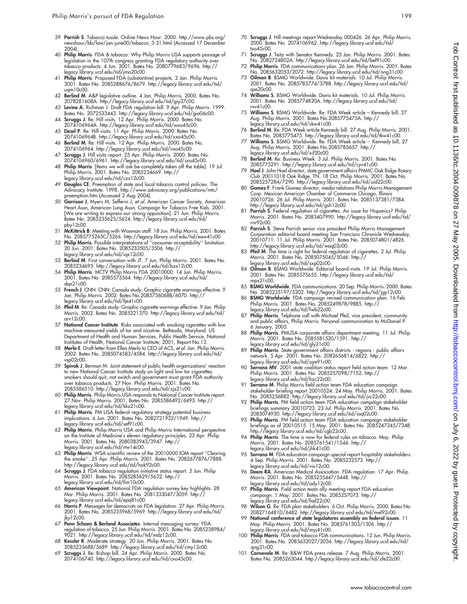- 39 Parrish S. Tobacco tussle. Online News Hour. 2000. http://www.pbs.org/ newshour/bb/law/jan-june00/tobacco\_3-21.html (Accessed 17 December 2004).
- 40 Philip Morris. FDA & tobacco: Why Philip Morris USA supports passage of legislation in the 107th congress granting FDA regulatory authority over tobacco products. 4 Jun. 2001. Bates No. 2080779683/9696. http:// legacy.library.ucsf.edu/tid/jmo20c00.
- 41 Philip Morris. Proposed FDA (substantive) projects. 2 Jan. Philip Morris 2001. Bates No. 2085288676/8679. http://legacy.library.ucsf.edu/tid/ uqm10c00.
- 42 Berlind M. A&P legislative outline. 4 Jan. Philip Morris. 2000. Bates No. 2078281608A. http://legacy.library.ucsf.edu/tid/giy37c00. 43 Levine A, Richman J. Draft FDA regulation bill. 9 Apr. Philip Morris. 1999.
- 
- Bates No. 2072533443. http://legacy.library.ucsf.edu/tid/gia06c00.<br>44 Scruggs J. Re: Hill visits. 12 Apr. Philip Morris. 2000. Bates No.<br>2074106964A. http://legacy.library.ucsf.edu/tid/wxo45c00. 45 Desel P. Re: Hill visits. 11 Apr. Philip Morris. 2000. Bates No.
- 2074106964B. http://legacy.library.ucsf.edu/tid/xxo45c00. 46 Berlind M. Re: Hill visits. 12 Apr. Philip Morris. 2000. Bates No.
- 2074106964. http://legacy.library.ucsf.edu/tid/vxo45c00. 47 Scruggs J. Hill visits report. 25 Apr. Philip Morris. 2000. Bates No.
- 2074106960/6961. http://legacy.library.ucsf.edu/tid/sxo45c00. 48 Philip Morris. [Items we will ask be completely taken off the table]. 19 Jul.
- Philip Morris. 2001. Bates No. 2085234669. http://
- legacy.library.ucsf.edu/tid/czx12c00.<br>49 Douglas CE. Preemption of state and local tobacco control policies. The Advocacy Institute. 1998. http://www.advocacy.org/publications/mtc/ preemption.htm (Accessed 2 Aug 2004).
- 50 Garrison J, Myers M, Selferin J, *et al.* American Cancer Society, American<br>Heart Assn, American Lung Assn, Campaign for Tobacco Free Kids. 2001.<br>[We are writing to express our strong opposition]. 21 Jun. Philip Morris. pby12c00.
- 51 McKittrick B. Meeting with Waxman staff. 18 Jun. Philip Morris. 2001. Bates No. 2085775265C/5266. http://legacy.library.ucsf.edu/tid/eaw41c00.
- 52 Philip Morris. Possible interpretations of ''consumer acceptability'' limitation. 20 Jun. 2001. Bates No. 2085233505/3506. http://
- legacy.library.ucsf.edu/tid/iqx12c00. 53 Berlind M. First conversation with JT. 7 Jun. Philip Morris. 2001. Bates No. 2085234695. http://legacy.library.ucsf.edu/tid/bzx12c00.
- 54 Philip Morris. MCTV Philip Morris FDA 20010000. 14 Jun. Philip Morris. 2001. Bates No. 2085575564. http://legacy.library.ucsf.edu/tid/ dqx21c00.
- 55 French J. CNN. CNN: Canada study, Graphic cigarette warnings effective. 9 Jan. Philip Morris. 2002. Bates No.2085756068B/6070. http:// legacy.library.ucsf.edu/tid/fje41c00.
- 56 Pfeil M. Re: Canada study: Graphic cigarette warnings effective. 9 Jan. Philip Morris. 2002. Bates No. 2085221370. http://legacy.library.ucsf.edu/tid/ arv12c00.
- 57 National Cancer Institute. Risks associated with smoking cigarettes with low machine-measured yields of tar and nicotine. Bethesda, Maryland: US Department of Health and Human Services, Public Health Service, National Institutes of Health, National Cancer Institute; 2001, Report No.13.
- 58 Merlo E. Draft letter from Ellen Merlo to CEO of ACS, et al. Jan. Philip Morris. 2002. Bates No. 2085074583/4584. http://legacy.library.ucsf.edu/tid/ vsp02c00.
- 59 Spivak J, Berman M. Joint statement of public health organizations' reaction to new National Cancer Institute study on light and low tar cigarettes:<br>smokers should quit, not switch and government must grant FDA authority<br>over tobacco products. 27 Nov. Philip Morris. 2001. Bates No.<br>2085586510. http
- 60 Philip Morris. Philip Morris USA responds to National Cancer Institute report. 27 Nov. Philip Morris. 2001. Bates No. 2085586492/6493. http:// legacy.library.ucsf.edu/tid/kkz21c00.
- 61 Philip Morris. PM USA federal regulatory strategy potential business implications. 6 Jun. 2001. Bates No. 2082721932/1949. http:// legacy.library.ucsf.edu/tid/sef91c00.
- 62 Philip Morris. Philip Morris USA and Philip Morris International perspective on the Institute of Medicine's eleven regulatory principles. 23 Apr. Philip Morris. 2001. Bates No. 2080383943/3947. http:// legacy.library.ucsf.edu/tid/rtw14c00.
- 63 Philip Morris. WSA scientific review of the 20010000 IOM report ''Clearing the smoke''. 25 Apr. Philip Morris. 2001. Bates No. 2082677876/7888. http://legacy.library.ucsf.edu/tid/hok92c00.
- 64 Scruggs J. FDA tobacco regulation initiative status report. 5 Jun. Philip Morris. 2001. Bates No. 2085285629/5632. http:// legacy.library.ucsf.edu/tid/fim10c00.
- 65 American Viewpoint. National FDA regulation survey key highlights. 28 Mar. Philip Morris. 2001. Bates No. 2081333047/3059. http://
- legacy.library.ucsf.edu/tid/epq81c00.<br>66 **Harris P**. Messages for democrats on FDA legislation. 27 Apr. Philip Morris. 2001. Bates No. 2085235968/5969. http://legacy.library.ucsf.edu/tid/ jky12c00.
- 67 Penn Schoen & Berland Associates. Internal messaging survey: FDA regulation of tobacco. 25 Jun. Philip Morris. 2001. Bates No. 2085238984/ 9021. http://legacy.library.ucsf.edu/tid/mdz12c00.
- 68 Kessler R. Moderate strategy. 20 Jun. Philip Morris. 2001. Bates No. 2085235688/5689. http://legacy.library.ucsf.edu/tid/cmy12c00.
- 69 Scruggs J. Re: Bishop bill. 24 Apr. Philip Morris. 2000. Bates No. 2074106740. http://legacy.library.ucsf.edu/tid/cxo45c00.
- 70 Scruggs J. Hill meetings report Wednesday 000426. 26 Apr. Philip Morris. 2000. Bates No. 2074106962. http://legacy.library.ucsf.edu/tid/ txo45c00.
- 71 **Scruggs J**. Teitz with Senator Kennedy. 25 Jan. Philip Morris. 2001. Bates<br>No. 2082724802A. http://legacy.library.ucsf.edu/tid/bef91c00.<br>72 **Philip Morris**. FDA communications plan. 26 Jan. Philip Morris. 2001. Bates
- 
- No. 2085632053/2072. http://legacy.library.ucsf.edu/tid/nng31c00. 73 Oilman B. BSMG Worldwide. Davis kit materials. 10 Jul. Philip Morris. 2001. Bates No. 2085783774/3788. http://legacy.library.ucsf.edu/tid/
- qse20c00.<br>74 **Williams S**. BSMG Worldwide. Davis kit materials. 10 Jul. Philip Morris. 2001. Bates No. 2085774820A. http://legacy.library.ucsf.edu/tid/ rvv41c00.
- 75 Williams S. BSMG Worldwide. Re: FDA Week article Kennedy bill, 27 Aug. Philip Morris. 2001. Bates No.2085775475A. http:// legacy.library.ucsf.edu/tid/skw41c00.
- 76 **Berlind M**. Re: FDA Week article Kennedy bill. 27 Aug. Philip Morris. 2001.<br>Bates No. 2085775475. http://legacy.library.ucsf.edu/tid/tkw41c00.<br>Wi**lliams S**. BSMG Worldwide. Re: FDA Week article -- Kennedy bill, 27<br>Aug.
- legacy.library.ucsf.edu/tid/xif20c00.
- Berlind M. Re: Business Week. 3 Jul. Philip Morris. 2001. Bates No. 2085775291. http://legacy.library.ucsf.edu/tid/cyv41c00.
- 79 Hoel J. John Hoel director, state government affairs PMMC Oak Ridge Rotary Club 20011018 Oak Ridge, TN. 18 Oct. Philip Morris. 2001. Bates No. 2085257284/7290. http://legacy.library.ucsf.edu/tid/uid22c00.
- 80 Gomez F. Frank Gomez director, media relations Philip Morris Management Corp. Mexican American Chamber of Commerce Chicago, Illinois 20010726. 26 Jul. Philip Morris. 2001. Bates No. 2085137381/7384. http://legacy.library.ucsf.edu/tid/gsh12c00.
- 81 Parrish S. Federal regulation of cigarettes: An issue for Hispanics? Philip Morris. 2001. Bates No. 2083407990. http://legacy.library.ucsf.edu/tid/ rnr92c00.
- 82 Parrish S. Steve Parrish senior vice president Philip Morris Management Corporation editorial board meeting San Francisco Chronicle Wednesday, 20010711. 11 Jul. Philip Morris. 2001. Bates No. 2085074801/4826.
- http://legacy.library.ucsf.edu/tid/waq02c00. 83 Pfeil M. The time is right for federal regulation of cigarettes. 2 Jul. Philip Morris. 2001. Bates No. 2085075045/5046. http:// legacy.library.ucsf.edu/tid/sxp02c00.
- 84 Oilman B. BSMG Worldwide. Editorial board visits. 19 Jul. Philip Morris. 2001. Bates No. 2085575655. http://legacy.library.ucsf.edu/tid/ mpx21c00.
- 85 **BSMG Worldwide**. FDA communications. 20 Sep. Philip Morris. 2000. Bates<br>No. 2085235197/5202. http://legacy.library.ucsf.edu/tid/jgy12c00.<br>86 **BSMG Worldwide**. FDA campaign revised communication plan. 16 Feb.
- Philip Morris. 2001. Bates No. 2085249878/9885. http:// legacy.library.ucsf.edu/tid/fwb22c00.
- 87 Philip Morris. Telphone call with Michael Pfeil, vice president, community and public affairs, Philip Morris. Personal communication to McDaniel P. 6 January, 2005.
- 88 Philip Morris. PMUSA corporate affairs department meeting. 11 Jul. Philip Morris. 2001. Bates No. 2085581520/1591. http:// legacy.library.ucsf.edu/tid/gly21c00.
- 89 Philip Morris. State government affairs districts regions public affairs network. 5 Apr. 2001. Bates No. 2082656814/6822. http:// legacy.library.ucsf.edu/tid/oye91c00.
- 90 Serrano MV. 2001 state coalition status report field action team. 12 Mar. Philip Morris. 2001. Bates No. 2085257098/7152. http://<br>legacy.library.ucsf.edu/tid/hzc22c00.<br>91 **Serrano M**. Philip Morris field action team FDA education campaign
- stakeholder briefing report 20010524. 24 May. Philip Morris. 2001. Bates
- No. 2085256882. http://legacy.library.ucsf.edu/tid/jvc22c00.<br>92 **Philip Morris**. PM field action team FDA education campaign stakeholder briefings summary 20010723. 23 Jul. Philip Morris. 2001. Bates No.
- 2085074930. http://legacy.library.ucsf.edu/tid/iaq02c00. 93 Philip Morris. PM field action team FDA education campaign stakeholder briefings as of 20010515. 15 May. 2001. Bates No. 2085247345/7348. http://legacy.library.ucsf.edu/tid/cgb22c00.
- 94 Philip Morris. The time is now for federal rules on tobacco. May. Philip Morris. 2001. Bates No. 2085761541/1544. http:// legacy.library.ucsf.edu/tid/jhk41c00.
- 95 Serrano M. FDA education campaign special report hospitality stakeholders. 4 Sep. Philip Morris. 2001. Bates No. 2085232573. http:// legacy.library.ucsf.edu/tid/vix12c00.
- 96 Deem RA. American Medical Association. FDA regulation. 17 Apr. Philip Morris. 2001. Bates No. 2085235447/5448. http:// legacy.library.ucsf.edu/tid/ody12c00.
- 97 Philip Morris. Field action team ally meeting report FDA education campaign. 1 May. 2001. Bates No. 2085257073. http:// legacy.library.ucsf.edu/tid/fad22c00.
- 98 Wilson G. Re: FDA plan stakeholders. 6 Oct. Philip Morris. 2000. Bates No. 2082716481D/6482. http://legacy.library.ucsf.edu/tid/mel92c00. 99 National conference of state legislatures assembly on federal issues. 11
- May. Philip Morris. 2001. Bates No. 2085761303/1306. http:// legacy.library.ucsf.edu/tid/myj41c00. 100 Philip Morris. FDA and tobacco FDA communications. 12 Jun. Philip Morris.
- 2001. Bates No. 2085632027/2036. http://legacy.library.ucsf.edu/tid/ qng31c00.
- 101 Carnovale M. Re: B&W FDA press release. 7 Aug. Philip Morris. 2001. Bates No. 2085263044. http://legacy.library.ucsf.edu/tid/zfe22c00.

pop